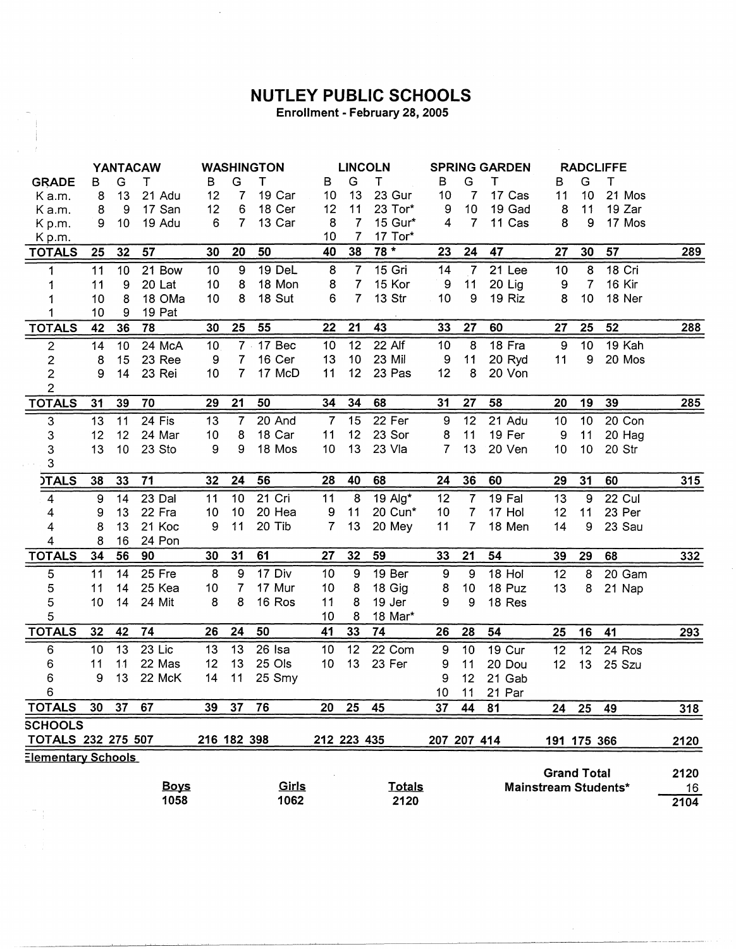## **NUTLEY PUBLIC SCHOOLS**

 $\bar{z}$ 

Enrollment - February 28, 2005

 $\mathcal{L}$ 

 $\epsilon$ 

|                           | YANTACAW         |                 |             | <b>WASHINGTON</b> |                |        |                | <b>LINCOLN</b>  |               | <b>SPRING GARDEN</b> |                 |          | <b>RADCLIFFE</b>     |                |          |            |
|---------------------------|------------------|-----------------|-------------|-------------------|----------------|--------|----------------|-----------------|---------------|----------------------|-----------------|----------|----------------------|----------------|----------|------------|
| <b>GRADE</b>              | в                | G               | т           | B                 | G              | т      | в              | G               | т             | в                    | G               | т        | в                    | G              | Т        |            |
| K a.m.                    | 8                | 13              | 21 Adu      | 12                | 7              | 19 Car | 10             | 13              | 23 Gur        | 10                   | 7               | 17 Cas   | 11                   | 10             | 21 Mos   |            |
| Ka.m.                     | 8                | 9               | 17 San      | 12                | 6              | 18 Cer | 12             | 11              | 23 Tor*       | 9                    | 10              | 19 Gad   | 8                    | 11             | 19 Zar   |            |
| Kp.m.                     | 9                | 10              | 19 Adu      | 6                 | $7^{\circ}$    | 13 Car | 8              | $\overline{7}$  | 15 Gur*       | $\overline{4}$       | $\overline{7}$  | 11 Cas   | 8                    | 9              | 17 Mos   |            |
| Kp.m.                     |                  |                 |             |                   |                |        | 10             | $\overline{7}$  | 17 Tor*       |                      |                 |          |                      |                |          |            |
| <b>TOTALS</b>             | 25               | 32              | 57          | 30                | 20             | 50     | 40             | 38              | 78 *          | 23                   | 24              | 47       | 27                   | 30             | 57       | <u>289</u> |
| 1                         | 11               | 10              | 21 Bow      | 10                | 9              | 19 DeL | 8              | $\overline{7}$  | 15 Gri        | 14                   | $\overline{7}$  | 21 Lee   | 10                   | $\overline{8}$ | $18$ Cri |            |
| 1                         | 11               | 9               | 20 Lat      | 10                | 8              | 18 Mon | 8              | $\mathbf{7}$    | 15 Kor        | 9                    | 11              | 20 Lig   | 9                    | $\overline{7}$ | 16 Kir   |            |
| 1                         | 10               | 8               | 18 OMa      | 10                | 8              | 18 Sut | 6              | 7 <sup>1</sup>  | 13 Str        | 10                   | 9               | 19 Riz   | 8                    | 10             | 18 Ner   |            |
| 1                         | 10               | 9               | 19 Pat      |                   |                |        |                |                 |               |                      |                 |          |                      |                |          |            |
| <b>TOTALS</b>             | 42               | 36              | 78          | 30                | 25             | 55     | 22             | 21              | 43            | 33                   | 27              | 60       | 27                   | 25             | 52       | 288        |
| $\mathbf{2}$              | 14               | 10              | 24 McA      | 10                | $7$ .          | 17 Bec | 10             | 12              | 22 Alf        | 10                   | 8               | 18 Fra   | 9                    | 10             | 19 Kah   |            |
| $\boldsymbol{2}$          | 8                | 15              | 23 Ree      | 9                 | 7              | 16 Cer | 13             | 10              | 23 Mil        | 9                    | 11              | 20 Ryd   | 11                   | 9              | 20 Mos   |            |
| $\overline{2}$            | 9                | 14              | 23 Rei      | 10                | $\overline{7}$ | 17 McD | 11             | 12 <sub>2</sub> | 23 Pas        | 12                   | 8               | 20 Von   |                      |                |          |            |
| $\overline{2}$            |                  |                 |             |                   |                |        |                |                 |               |                      |                 |          |                      |                |          |            |
| <b>TOTALS</b>             | 31               | 39              | 70          | 29                | 21             | 50     | 34             | 34              | 68            | 31                   | 27              | 58       | 20                   | 19             | 39       | 285        |
| $\ensuremath{\mathsf{3}}$ | 13               | 11              | 24 Fis      | 13                | 7              | 20 And | $\overline{7}$ | 15              | 22 Fer        | $\boldsymbol{9}$     | 12              | 21 Adu   | 10                   | 10             | 20 Con   |            |
| 3                         | 12               | 12              | 24 Mar      | 10                | 8              | 18 Car | 11             | 12 <sub>2</sub> | 23 Sor        | 8                    | 11              | 19 Fer   | 9                    | 11             | 20 Hag   |            |
| 3                         | 13               | 10 <sup>1</sup> | 23 Sto      | 9                 | 9              | 18 Mos | 10             | 13              | 23 Vla        | 7                    | 13              | 20 Ven   | 10                   | 10             | 20 Str   |            |
| 3                         |                  |                 |             |                   |                |        |                |                 |               |                      |                 |          |                      |                |          |            |
| <b>ITALS</b>              | 38               | 33              | 71          | 32                | 24             | 56     | 28             | 40              | 68            | 24                   | 36              | 60       | 29                   | 31             | 60       | 315        |
| $\overline{4}$            | $\boldsymbol{9}$ | 14              | 23 Dal      | 11                | 10             | 21 Cri | 11             | 8               | 19 Alg*       | 12                   | $\overline{7}$  | $19$ Fal | $\overline{13}$      | $\overline{9}$ | $22$ Cul |            |
| 4                         | 9                | 13              | 22 Fra      | 10                | 10             | 20 Hea | 9              | 11              | 20 Cun*       | 10                   | $\overline{7}$  | 17 Hol   | 12                   | 11             | 23 Per   |            |
| 4                         | 8                | 13              | 21 Koc      | 9                 | 11             | 20 Tib | $\overline{7}$ | 13              | 20 Mey        | 11                   | $\overline{7}$  | 18 Men   | 14                   | 9              | 23 Sau   |            |
| 4                         | 8                | 16              | 24 Pon      |                   |                |        |                |                 |               |                      |                 |          |                      |                |          |            |
| <b>TOTALS</b>             | 34               | 56              | 90          | 30                | 31             | 61     | 27             | 32              | 59            | 33                   | 21              | 54       | 39                   | 29             | 68       | 332        |
| 5                         | 11               | 14              | 25 Fre      | 8                 | 9              | 17 Div | 10             | 9               | 19 Ber        | $\overline{9}$       | 9               | 18 Hol   | 12                   | 8              | 20 Gam   |            |
| 5                         | 11               | 14              | 25 Kea      | 10                | 7              | 17 Mur | 10             | 8               | 18 Gig        | 8                    | 10              | 18 Puz   | 13                   | 8              | 21 Nap   |            |
| 5                         | 10               | 14              | 24 Mit      | 8                 | 8              | 16 Ros | 11             | 8               | 19 Jer        | 9                    | 9               | 18 Res   |                      |                |          |            |
| 5                         |                  |                 |             |                   |                |        | 10             | 8               | 18 Mar*       |                      |                 |          |                      |                |          |            |
| <b>TOTALS</b>             | 32               | 42              | 74          | 26                | 24             | 50     | 41             | 33              | 74            | 26                   | 28              | 54       | 25                   | 16             | 41       | 293        |
| 6                         | 10               | 13              | 23 Lic      | 13                | 13             | 26 Isa | 10             | 12              | 22 Com        | 9                    | 10              | 19 Cur   | 12                   | 12             | 24 Ros   |            |
| 6                         | 11               | 11              | 22 Mas      | 12                | 13             | 25 Ols | 10             | 13              | 23 Fer        | 9                    | 11              | 20 Dou   | 12                   | 13             | 25 Szu   |            |
| 6                         | 9                | 13              | 22 McK      | 14                | 11             | 25 Smy |                |                 |               | 9                    | 12 <sub>2</sub> | 21 Gab   |                      |                |          |            |
| 6                         |                  |                 |             |                   |                |        |                |                 |               | 10 <sub>1</sub>      | 11              | 21 Par   |                      |                |          |            |
| <b>TOTALS</b>             | 30               | 37              | 67          | 39                | 37             | 76     | 20             | 25              | 45            | 37                   | 44              | 81       | 24                   | 25             | 49       | 318        |
| <b>SCHOOLS</b>            |                  |                 |             |                   |                |        |                |                 |               |                      |                 |          |                      |                |          |            |
| <b>TOTALS 232 275 507</b> |                  |                 |             | 216 182 398       |                |        | 212 223 435    |                 |               | 207 207 414          |                 |          | 191 175 366          |                |          | 2120       |
| <b>Elementary Schools</b> |                  |                 |             |                   |                |        |                |                 |               |                      |                 |          |                      |                |          |            |
|                           |                  |                 |             |                   |                |        |                |                 |               |                      |                 |          | <b>Grand Total</b>   |                |          | 2120       |
|                           |                  |                 | <b>Boys</b> |                   |                | Girls  |                |                 | <b>Totals</b> |                      |                 |          | Mainstream Students* |                |          | 16         |
|                           |                  |                 | 1058        |                   |                | 1062   |                |                 | 2120          |                      |                 |          |                      |                |          | 2104       |